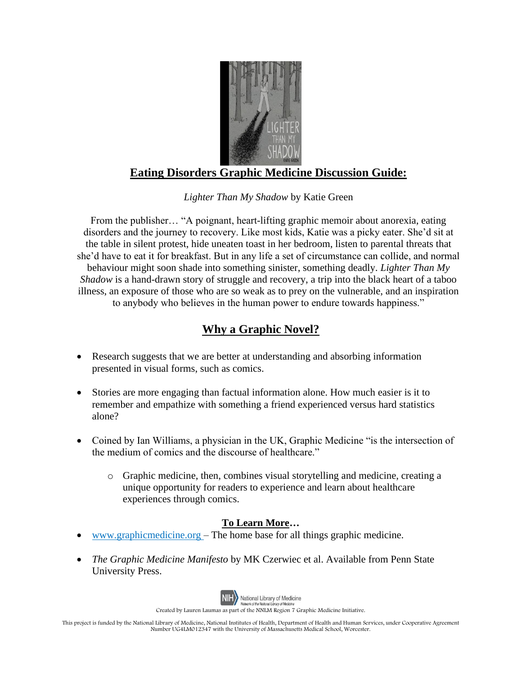

## **Eating Disorders Graphic Medicine Discussion Guide:**

*Lighter Than My Shadow* by Katie Green

From the publisher… "A poignant, heart-lifting graphic memoir about anorexia, eating disorders and the journey to recovery. Like most kids, Katie was a picky eater. She'd sit at the table in silent protest, hide uneaten toast in her bedroom, listen to parental threats that she'd have to eat it for breakfast. But in any life a set of circumstance can collide, and normal behaviour might soon shade into something sinister, something deadly. *Lighter Than My Shadow* is a hand-drawn story of struggle and recovery, a trip into the black heart of a taboo illness, an exposure of those who are so weak as to prey on the vulnerable, and an inspiration to anybody who believes in the human power to endure towards happiness."

## **Why a Graphic Novel?**

- Research suggests that we are better at understanding and absorbing information presented in visual forms, such as comics.
- Stories are more engaging than factual information alone. How much easier is it to remember and empathize with something a friend experienced versus hard statistics alone?
- Coined by Ian Williams, a physician in the UK, Graphic Medicine "is the intersection of the medium of comics and the discourse of healthcare."
	- o Graphic medicine, then, combines visual storytelling and medicine, creating a unique opportunity for readers to experience and learn about healthcare experiences through comics.

## **To Learn More…**

- [www.graphicmedicine.org](http://www.graphicmedicine.org/) The home base for all things graphic medicine.
- *The Graphic Medicine Manifesto* by MK Czerwiec et al. Available from Penn State University Press.



Created by Lauren Laumas as part of the NNLM Region 7 Graphic Medicine Initiative.

This project is funded by the National Library of Medicine, National Institutes of Health, Department of Health and Human Services, under Cooperative Agreement Number UG4LM012347 with the University of Massachusetts Medical School, Worcester.